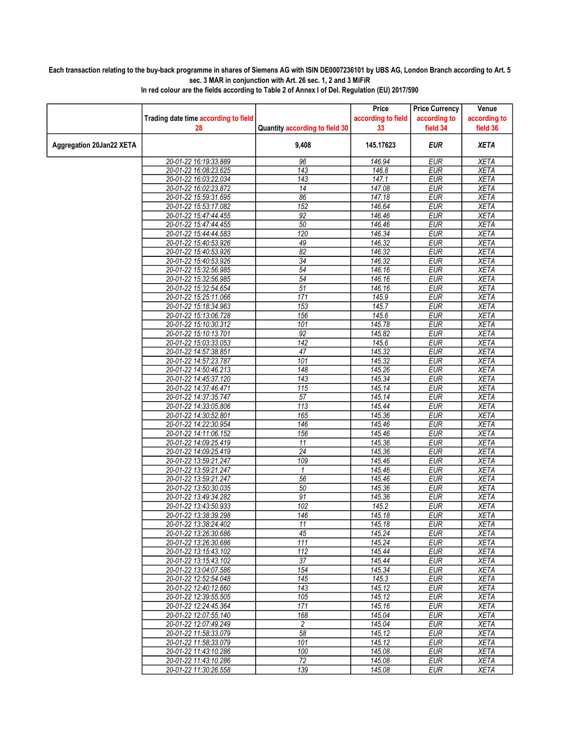## Each transaction relating to the buy-back programme in shares of Siemens AG with ISIN DE0007236101 by UBS AG, London Branch according to Art. 5 sec. 3 MAR in conjunction with Art. 26 sec. 1, 2 and 3 MiFiR

|                          |                                      |                                | Price              | <b>Price Currency</b> | Venue        |
|--------------------------|--------------------------------------|--------------------------------|--------------------|-----------------------|--------------|
|                          | Trading date time according to field |                                | according to field | according to          | according to |
|                          | 28                                   | Quantity according to field 30 | 33                 | field 34              | field 36     |
|                          |                                      |                                |                    |                       |              |
| Aggregation 20Jan22 XETA |                                      | 9,408                          | 145.17623          | <b>EUR</b>            | <b>XETA</b>  |
|                          | 20-01-22 16:19:33.889                | 96                             | 146.94             | <b>EUR</b>            | <b>XETA</b>  |
|                          | 20-01-22 16:08:23.625                | $\overline{143}$               | 146.8              | <b>EUR</b>            | <b>XETA</b>  |
|                          | 20-01-22 16:03:22.034                | 143                            | 147.1              | <b>EUR</b>            | <b>XETA</b>  |
|                          | 20-01-22 16:02:23.872                | 14                             | 147.08             | <b>EUR</b>            | <b>XETA</b>  |
|                          | 20-01-22 15:59:31.695                | 86                             | 147.18             | <b>EUR</b>            | <b>XETA</b>  |
|                          | 20-01-22 15:53:17.082                | 152                            | 146.64             | <b>EUR</b>            | <b>XETA</b>  |
|                          | 20-01-22 15:47:44.455                | 92                             | 146.46             | <b>EUR</b>            | <b>XETA</b>  |
|                          | 20-01-22 15:47:44.455                | 50                             | 146.46             | <b>EUR</b>            | <b>XETA</b>  |
|                          | 20-01-22 15:44:44.583                | 120                            | 146.34             | <b>EUR</b>            | <b>XETA</b>  |
|                          | 20-01-22 15:40:53.926                | 49                             | 146.32             | <b>EUR</b>            | <b>XETA</b>  |
|                          | 20-01-22 15:40:53.926                | 82                             | 146.32             | <b>EUR</b>            | <b>XETA</b>  |
|                          | 20-01-22 15:40:53.926                | 34                             | 146.32             | <b>EUR</b>            | <b>XETA</b>  |
|                          | 20-01-22 15:32:56.985                | 54                             | 146.16             | <b>EUR</b>            | <b>XETA</b>  |
|                          | 20-01-22 15:32:56.985                | $\overline{54}$                | 146.16             | <b>EUR</b>            | <b>XETA</b>  |
|                          | 20-01-22 15:32:54.654                | $\overline{51}$                | 146.16             | <b>EUR</b>            | <b>XETA</b>  |
|                          | 20-01-22 15:25:11.066                | 171                            | 145.9              | <b>EUR</b>            | <b>XETA</b>  |
|                          | 20-01-22 15:18:34.963                | 153                            | 145.7              | <b>EUR</b>            | <b>XETA</b>  |
|                          | 20-01-22 15:13:06.728                | 156                            | 145.6              | <b>EUR</b>            | <b>XETA</b>  |
|                          | 20-01-22 15:10:30.312                | 101                            | 145.78             | <b>EUR</b>            | <b>XETA</b>  |
|                          | 20-01-22 15:10:13.701                | 92                             | 145.82             | <b>EUR</b>            | <b>XETA</b>  |
|                          | 20-01-22 15:03:33.053                | 142                            | 145.6              | <b>EUR</b>            | <b>XETA</b>  |
|                          | 20-01-22 14:57:38.851                | 47                             | 145.32             | <b>EUR</b>            | <b>XETA</b>  |
|                          | 20-01-22 14:57:23.787                | 101                            | 145.32             | <b>EUR</b>            | <b>XETA</b>  |
|                          | 20-01-22 14:50:46.213                | 148                            | 145.26             | <b>EUR</b>            | <b>XETA</b>  |
|                          | 20-01-22 14:45:37.120                | 143                            | 145.34             | <b>EUR</b>            | <b>XETA</b>  |
|                          | 20-01-22 14:37:46.471                | 115                            | 145.14             | <b>EUR</b>            | <b>XETA</b>  |
|                          | 20-01-22 14:37:35.747                | $\overline{57}$                | 145.14             | <b>EUR</b>            | <b>XETA</b>  |
|                          | 20-01-22 14:33:05.806                | 113                            | 145.44             | <b>EUR</b>            | <b>XETA</b>  |
|                          | 20-01-22 14:30:52.801                | 165                            | 145.36             | <b>EUR</b>            | <b>XETA</b>  |
|                          | 20-01-22 14:22:30.954                | 146                            | 145.46             | <b>EUR</b>            | <b>XETA</b>  |
|                          | 20-01-22 14:11:06.152                | 156                            | 145.46             | <b>EUR</b>            | <b>XETA</b>  |
|                          | 20-01-22 14:09:25.419                | 11                             | 145.36             | <b>EUR</b>            | <b>XETA</b>  |
|                          | 20-01-22 14:09:25.419                | $\overline{24}$                | 145.36             | <b>EUR</b>            | <b>XETA</b>  |
|                          | 20-01-22 13:59:21.247                | 109                            | 145.46             | <b>EUR</b>            | <b>XETA</b>  |
|                          | 20-01-22 13:59:21.247                | $\mathbf{1}$                   | 145.46             | <b>EUR</b>            | <b>XETA</b>  |
|                          | 20-01-22 13:59:21.247                | 56                             | 145.46             | <b>EUR</b>            | <b>XETA</b>  |
|                          | 20-01-22 13:50:30.035                | 50                             | 145.36             | <b>EUR</b>            | <b>XETA</b>  |
|                          | 20-01-22 13:49:34.282                | 91                             | 145.36             | <b>EUR</b>            | <b>XETA</b>  |
|                          | 20-01-22 13:43:50.933                | 102                            | 145.2              | <b>EUR</b>            | <b>XETA</b>  |
|                          | 20-01-22 13:38:39.298                | 146                            | 145.18             | <b>EUR</b>            | <b>XETA</b>  |
|                          | 20-01-22 13:38:24.402                | 11                             | 145.18             | <b>EUR</b>            | <b>XETA</b>  |
|                          | 20-01-22 13:26:30.686                | 45                             | 145.24             | <b>EUR</b>            | XETA         |
|                          | 20-01-22 13:26:30.686                | 111                            | 145.24             | <b>EUR</b>            | <b>XETA</b>  |
|                          | 20-01-22 13:15:43.102                | 112                            | 145.44             | <b>EUR</b>            | XETA         |
|                          | 20-01-22 13:15:43.102                | $\overline{37}$                | 145.44             | <b>EUR</b>            | <b>XETA</b>  |
|                          | 20-01-22 13:04:07.586                | 154                            | 145.34             | <b>EUR</b>            | XETA         |
|                          | 20-01-22 12:52:54.048                | 145                            | 145.3              | <b>EUR</b>            | <b>XETA</b>  |
|                          | 20-01-22 12:40:12.660                | 143                            | 145.12             | <b>EUR</b>            | <b>XETA</b>  |
|                          | 20-01-22 12:39:55.505                | 105                            | 145.12             | <b>EUR</b>            | XETA         |
|                          | 20-01-22 12:24:45.364                | 171                            | 145.16             | <b>EUR</b>            | <b>XETA</b>  |
|                          | 20-01-22 12:07:55.140                | 168                            | 145.04             | <b>EUR</b>            | <b>XETA</b>  |
|                          | 20-01-22 12:07:49.249                | $\overline{c}$                 | 145.04             | <b>EUR</b>            | <b>XETA</b>  |
|                          | 20-01-22 11:58:33.079                | 58                             | 145.12             | <b>EUR</b>            | <b>XETA</b>  |
|                          | 20-01-22 11:58:33.079                | 101                            | 145.12             | <b>EUR</b>            | <b>XETA</b>  |
|                          | 20-01-22 11:43:10.286                | 100                            | 145.08             | <b>EUR</b>            | <b>XETA</b>  |
|                          | 20-01-22 11:43:10.286                | $\overline{72}$                | 145.08             | <b>EUR</b>            | <b>XETA</b>  |
|                          | 20-01-22 11:30:26.558                | 139                            | 145.08             | <b>EUR</b>            | <b>XETA</b>  |

In red colour are the fields according to Table 2 of Annex I of Del. Regulation (EU) 2017/590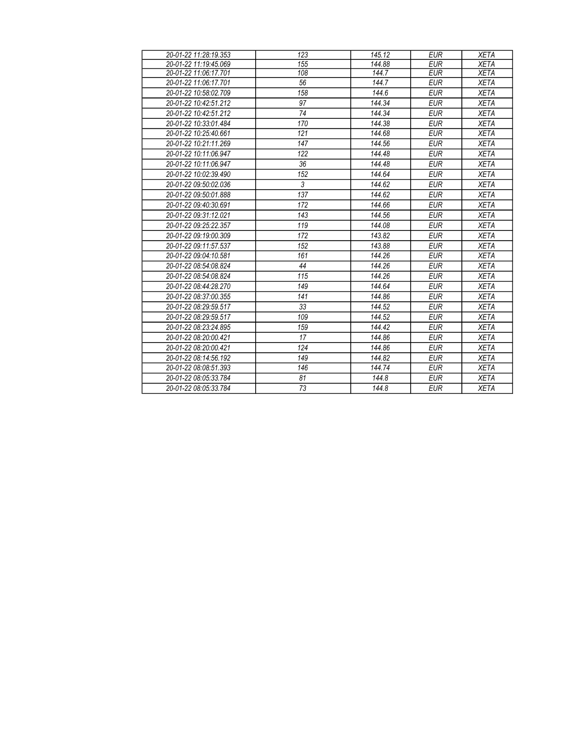| 20-01-22 11:28:19.353 | 123            | 145.12 | <b>EUR</b> | <b>XETA</b> |
|-----------------------|----------------|--------|------------|-------------|
| 20-01-22 11:19:45.069 | 155            | 144.88 | <b>EUR</b> | <b>XETA</b> |
| 20-01-22 11:06:17.701 | 108            | 144.7  | <b>EUR</b> | <b>XETA</b> |
| 20-01-22 11:06:17.701 | 56             | 144.7  | <b>EUR</b> | <b>XETA</b> |
| 20-01-22 10:58:02.709 | 158            | 144.6  | <b>EUR</b> | <b>XETA</b> |
| 20-01-22 10:42:51.212 | 97             | 144.34 | <b>EUR</b> | <b>XETA</b> |
| 20-01-22 10:42:51.212 | 74             | 144.34 | <b>EUR</b> | <b>XETA</b> |
| 20-01-22 10:33:01.484 | 170            | 144.38 | <b>EUR</b> | <b>XETA</b> |
| 20-01-22 10:25:40.661 | 121            | 144.68 | <b>EUR</b> | <b>XETA</b> |
| 20-01-22 10:21:11.269 | 147            | 144.56 | <b>EUR</b> | <b>XETA</b> |
| 20-01-22 10:11:06.947 | 122            | 144.48 | <b>EUR</b> | <b>XETA</b> |
| 20-01-22 10:11:06.947 | 36             | 144.48 | <b>EUR</b> | <b>XETA</b> |
| 20-01-22 10:02:39.490 | 152            | 144.64 | <b>EUR</b> | <b>XETA</b> |
| 20-01-22 09:50:02.036 | $\mathfrak{Z}$ | 144.62 | <b>EUR</b> | <b>XETA</b> |
| 20-01-22 09:50:01.888 | 137            | 144.62 | <b>EUR</b> | <b>XETA</b> |
| 20-01-22 09:40:30.691 | 172            | 144.66 | <b>EUR</b> | <b>XETA</b> |
| 20-01-22 09:31:12.021 | 143            | 144.56 | <b>EUR</b> | <b>XETA</b> |
| 20-01-22 09:25:22.357 | 119            | 144.08 | <b>EUR</b> | <b>XETA</b> |
| 20-01-22 09:19:00.309 | 172            | 143.82 | <b>EUR</b> | <b>XETA</b> |
| 20-01-22 09:11:57.537 | 152            | 143.88 | <b>EUR</b> | <b>XETA</b> |
| 20-01-22 09:04:10.581 | 161            | 144.26 | <b>EUR</b> | <b>XETA</b> |
| 20-01-22 08:54:08.824 | 44             | 144.26 | <b>EUR</b> | <b>XETA</b> |
| 20-01-22 08:54:08.824 | 115            | 144.26 | <b>EUR</b> | <b>XETA</b> |
| 20-01-22 08:44:28.270 | 149            | 144.64 | <b>EUR</b> | <b>XETA</b> |
| 20-01-22 08:37:00.355 | 141            | 144.86 | <b>EUR</b> | <b>XETA</b> |
| 20-01-22 08:29:59.517 | 33             | 144.52 | <b>EUR</b> | <b>XETA</b> |
| 20-01-22 08:29:59.517 | 109            | 144.52 | <b>EUR</b> | <b>XETA</b> |
| 20-01-22 08:23:24.895 | 159            | 144.42 | <b>EUR</b> | <b>XETA</b> |
| 20-01-22 08:20:00.421 | 17             | 144.86 | <b>EUR</b> | <b>XETA</b> |
| 20-01-22 08:20:00.421 | 124            | 144.86 | <b>EUR</b> | <b>XETA</b> |
| 20-01-22 08:14:56.192 | 149            | 144.82 | <b>EUR</b> | <b>XETA</b> |
| 20-01-22 08:08:51.393 | 146            | 144.74 | <b>EUR</b> | <b>XETA</b> |
| 20-01-22 08:05:33.784 | 81             | 144.8  | <b>EUR</b> | <b>XETA</b> |
| 20-01-22 08:05:33.784 | 73             | 144.8  | <b>EUR</b> | <b>XETA</b> |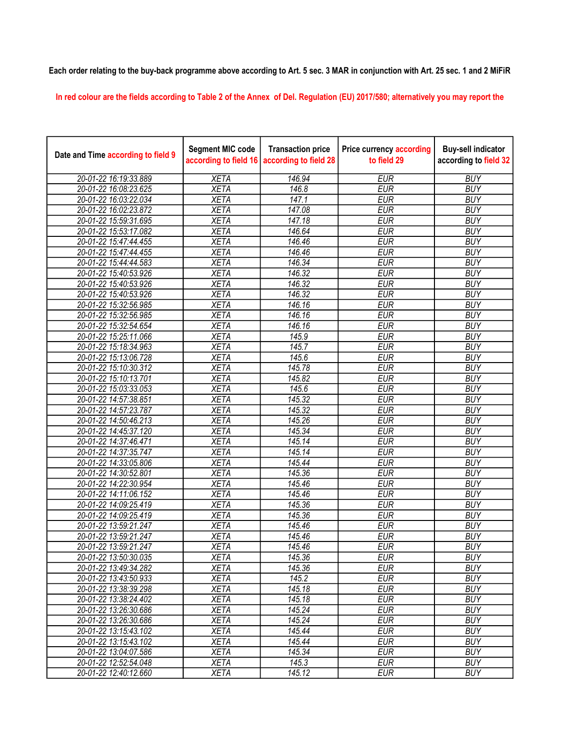## Each order relating to the buy-back programme above according to Art. 5 sec. 3 MAR in conjunction with Art. 25 sec. 1 and 2 MiFiR

In red colour are the fields according to Table 2 of the Annex of Del. Regulation (EU) 2017/580; alternatively you may report the

| Date and Time according to field 9 | <b>Segment MIC code</b><br>according to field 16 | <b>Transaction price</b><br>according to field 28 | <b>Price currency according</b><br>to field 29 | <b>Buy-sell indicator</b><br>according to field 32 |
|------------------------------------|--------------------------------------------------|---------------------------------------------------|------------------------------------------------|----------------------------------------------------|
| 20-01-22 16:19:33.889              | <b>XETA</b>                                      | 146.94                                            | <b>EUR</b>                                     | <b>BUY</b>                                         |
| 20-01-22 16:08:23.625              | <b>XETA</b>                                      | 146.8                                             | <b>EUR</b>                                     | <b>BUY</b>                                         |
| 20-01-22 16:03:22.034              | <b>XETA</b>                                      | 147.1                                             | <b>EUR</b>                                     | <b>BUY</b>                                         |
| 20-01-22 16:02:23.872              | <b>XETA</b>                                      | 147.08                                            | <b>EUR</b>                                     | <b>BUY</b>                                         |
| 20-01-22 15:59:31.695              | <b>XETA</b>                                      | 147.18                                            | <b>EUR</b>                                     | <b>BUY</b>                                         |
| 20-01-22 15:53:17.082              | <b>XETA</b>                                      | 146.64                                            | <b>EUR</b>                                     | <b>BUY</b>                                         |
| 20-01-22 15:47:44.455              | <b>XETA</b>                                      | 146.46                                            | <b>EUR</b>                                     | <b>BUY</b>                                         |
| 20-01-22 15:47:44.455              | <b>XETA</b>                                      | 146.46                                            | <b>EUR</b>                                     | <b>BUY</b>                                         |
| 20-01-22 15:44:44.583              | <b>XETA</b>                                      | 146.34                                            | <b>EUR</b>                                     | <b>BUY</b>                                         |
| 20-01-22 15:40:53.926              | <b>XETA</b>                                      | 146.32                                            | <b>EUR</b>                                     | <b>BUY</b>                                         |
| 20-01-22 15:40:53.926              | <b>XETA</b>                                      | 146.32                                            | <b>EUR</b>                                     | <b>BUY</b>                                         |
| 20-01-22 15:40:53.926              | <b>XETA</b>                                      | 146.32                                            | <b>EUR</b>                                     | <b>BUY</b>                                         |
| 20-01-22 15:32:56.985              | <b>XETA</b>                                      | 146.16                                            | <b>EUR</b>                                     | <b>BUY</b>                                         |
| 20-01-22 15:32:56.985              | <b>XETA</b>                                      | 146.16                                            | <b>EUR</b>                                     | <b>BUY</b>                                         |
| 20-01-22 15:32:54.654              | <b>XETA</b>                                      | 146.16                                            | <b>EUR</b>                                     | <b>BUY</b>                                         |
| 20-01-22 15:25:11.066              | <b>XETA</b>                                      | 145.9                                             | <b>EUR</b>                                     | <b>BUY</b>                                         |
| 20-01-22 15:18:34.963              | <b>XETA</b>                                      | 145.7                                             | <b>EUR</b>                                     | <b>BUY</b>                                         |
| 20-01-22 15:13:06.728              | <b>XETA</b>                                      | 145.6                                             | <b>EUR</b>                                     | <b>BUY</b>                                         |
| 20-01-22 15:10:30.312              | <b>XETA</b>                                      | 145.78                                            | <b>EUR</b>                                     | <b>BUY</b>                                         |
| 20-01-22 15:10:13.701              | <b>XETA</b>                                      | 145.82                                            | <b>EUR</b>                                     | <b>BUY</b>                                         |
| 20-01-22 15:03:33.053              | <b>XETA</b>                                      | 145.6                                             | <b>EUR</b>                                     | <b>BUY</b>                                         |
| 20-01-22 14:57:38.851              | <b>XETA</b>                                      | 145.32                                            | <b>EUR</b>                                     | <b>BUY</b>                                         |
| 20-01-22 14:57:23.787              | <b>XETA</b>                                      | 145.32                                            | <b>EUR</b>                                     | <b>BUY</b>                                         |
| 20-01-22 14:50:46.213              | <b>XETA</b>                                      | 145.26                                            | <b>EUR</b>                                     | <b>BUY</b>                                         |
| 20-01-22 14:45:37.120              | <b>XETA</b>                                      | 145.34                                            | <b>EUR</b>                                     | <b>BUY</b>                                         |
| 20-01-22 14:37:46.471              | <b>XETA</b>                                      | 145.14                                            | <b>EUR</b>                                     | <b>BUY</b>                                         |
| 20-01-22 14:37:35.747              | <b>XETA</b>                                      | 145.14                                            | <b>EUR</b>                                     | <b>BUY</b>                                         |
| 20-01-22 14:33:05.806              | <b>XETA</b>                                      | 145.44                                            | <b>EUR</b>                                     | <b>BUY</b>                                         |
| 20-01-22 14:30:52.801              | <b>XETA</b>                                      | 145.36                                            | <b>EUR</b>                                     | <b>BUY</b>                                         |
| 20-01-22 14:22:30.954              | <b>XETA</b>                                      | 145.46                                            | <b>EUR</b>                                     | <b>BUY</b>                                         |
| 20-01-22 14:11:06.152              | <b>XETA</b>                                      | 145.46                                            | <b>EUR</b>                                     | <b>BUY</b>                                         |
| 20-01-22 14:09:25.419              | <b>XETA</b>                                      | 145.36                                            | <b>EUR</b>                                     | <b>BUY</b>                                         |
| 20-01-22 14:09:25.419              | <b>XETA</b>                                      | 145.36                                            | <b>EUR</b>                                     | <b>BUY</b>                                         |
| 20-01-22 13:59:21.247              | <b>XETA</b>                                      | 145.46                                            | <b>EUR</b>                                     | <b>BUY</b>                                         |
| 20-01-22 13:59:21.247              | <b>XETA</b>                                      | 145.46                                            | <b>EUR</b>                                     | <b>BUY</b>                                         |
| 20-01-22 13:59:21.247              | <b>XETA</b>                                      | 145.46                                            | <b>EUR</b>                                     | <b>BUY</b>                                         |
| 20-01-22 13:50:30.035              | <b>XETA</b>                                      | 145.36                                            | <b>EUR</b>                                     | <b>BUY</b>                                         |
| 20-01-22 13:49:34.282              | <b>XETA</b>                                      | 145.36                                            | <b>EUR</b>                                     | <b>BUY</b>                                         |
| 20-01-22 13:43:50.933              | <b>XETA</b>                                      | $\overline{145.2}$                                | <b>EUR</b>                                     | <b>BUY</b>                                         |
| 20-01-22 13:38:39.298              | <b>XETA</b>                                      | 145.18                                            | <b>EUR</b>                                     | <b>BUY</b>                                         |
| 20-01-22 13:38:24.402              | <b>XETA</b>                                      | 145.18                                            | <b>EUR</b>                                     | <b>BUY</b>                                         |
| 20-01-22 13:26:30.686              | <b>XETA</b>                                      | 145.24                                            | <b>EUR</b>                                     | <b>BUY</b>                                         |
| 20-01-22 13:26:30.686              | <b>XETA</b>                                      | 145.24                                            | <b>EUR</b>                                     | <b>BUY</b>                                         |
| 20-01-22 13:15:43.102              | <b>XETA</b>                                      | 145.44                                            | <b>EUR</b>                                     | <b>BUY</b>                                         |
| 20-01-22 13:15:43.102              | <b>XETA</b>                                      | 145.44                                            | <b>EUR</b>                                     | <b>BUY</b>                                         |
| 20-01-22 13:04:07.586              | <b>XETA</b>                                      | 145.34                                            | <b>EUR</b>                                     | <b>BUY</b>                                         |
| 20-01-22 12:52:54.048              | <b>XETA</b>                                      | 145.3                                             | <b>EUR</b>                                     | <b>BUY</b>                                         |
| 20-01-22 12:40:12.660              | <b>XETA</b>                                      | 145.12                                            | <b>EUR</b>                                     | <b>BUY</b>                                         |